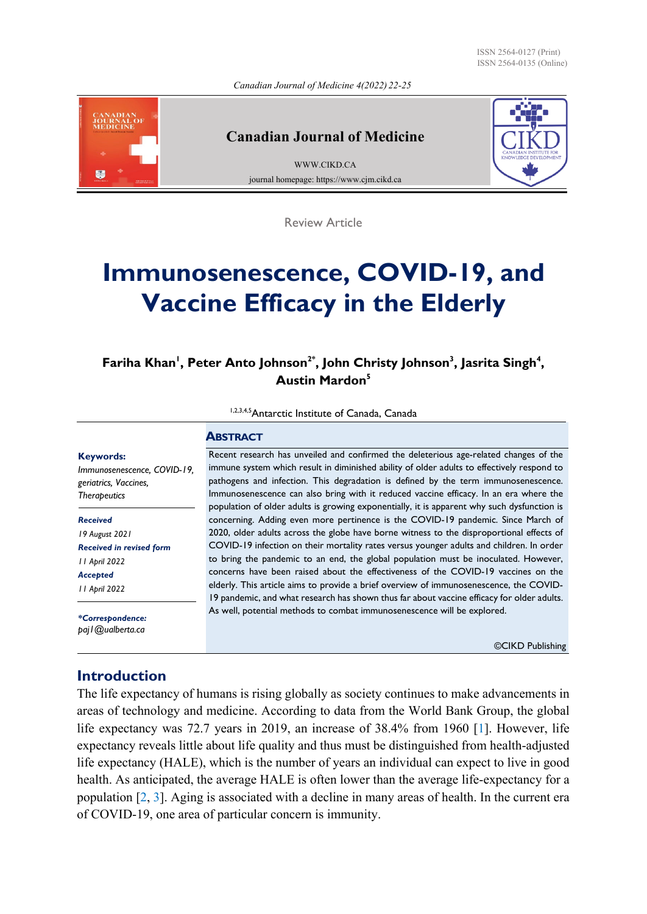ISSN 2564-0127 (Print) ISSN 2564-0135 (Online)

*Canadian Journal of Medicine 4(2022) 22-25*

<span id="page-0-0"></span>

### **Canadian Journal of Medicine**

[WWW.CIKD.CA](http://www.cikd.ca/) journal homepage: https://www.cjm.cikd.ca



Review Article

# **Immunosenescence, COVID-19, and Vaccine Efficacy in the Elderly**

**, <sup>4</sup> , Jasrita Singh <sup>3</sup> , John Christy Johnson 2\* , Peter Anto Johnson <sup>1</sup> Fariha Khan <sup>5</sup> Austin Mardon**

1,2,3,4,5 Antarctic Institute of Canada, Canada

#### **ABSTRACT**

**Keywords:** *Immunosenescence, COVID-19, geriatrics, Vaccines, Therapeutics*

*Received 19 August 2021 Received in revised form 11 April 2022 Accepted 11 April 2022*

*\*Correspondence: paj1@ualberta.ca*

### **Introduction**

The life expectancy of humans is rising globally as society continues to make advancements in areas of technology and medicine. According to data from the World Bank Group, the global life expectancy was 72.7 years in 2019, an increase of 38.4% from 1960 [\[1](#page-3-0)]. However, life expectancy reveals little about life quality and thus must be distinguished from health-adjusted life expectancy (HALE), which is the number of years an individual can expect to live in good health. As anticipated, the average HALE is often lower than the average life-expectancy for a population [\[2](#page-3-0), [3](#page-3-0)]. Aging is associated with a decline in many areas of health. In the current era of COVID-19, one area of particular concern is immunity.

Recent research has unveiled and confirmed the deleterious age-related changes of the immune system which result in diminished ability of older adults to effectively respond to pathogens and infection. This degradation is defined by the term immunosenescence. Immunosenescence can also bring with it reduced vaccine efficacy. In an era where the population of older adults is growing exponentially, it is apparent why such dysfunction is concerning. Adding even more pertinence is the COVID-19 pandemic. Since March of 2020, older adults across the globe have borne witness to the disproportional effects of COVID-19 infection on their mortality rates versus younger adults and children. In order to bring the pandemic to an end, the global population must be inoculated. However, concerns have been raised about the effectiveness of the COVID-19 vaccines on the elderly. This article aims to provide a brief overview of immunosenescence, the COVID-19 pandemic, and what research has shown thus far about vaccine efficacy for older adults. As well, potential methods to combat immunosenescence will be explored.

©CIKD Publishing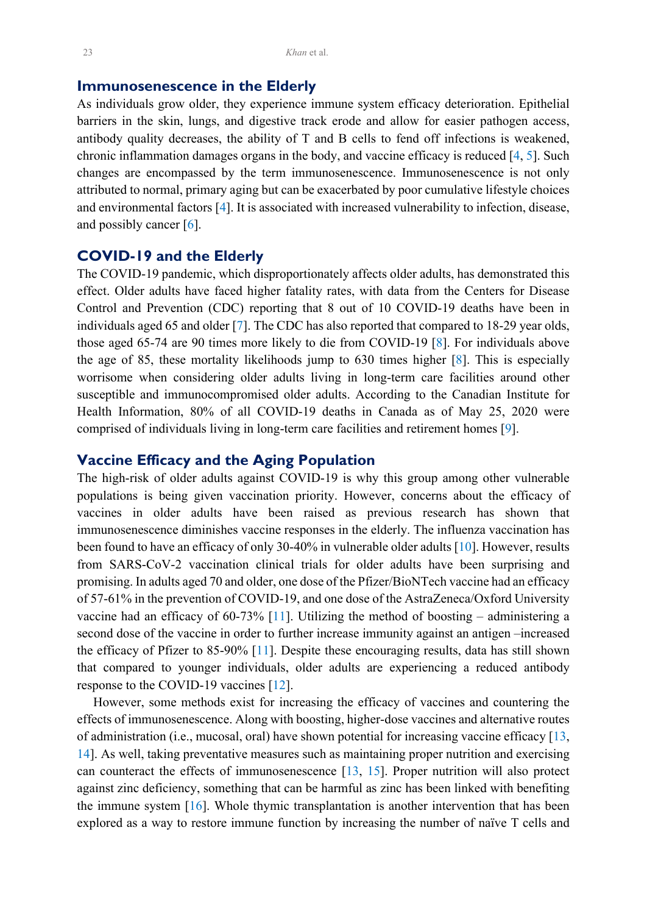### <span id="page-1-0"></span>**Immunosenescence in the Elderly**

As individuals grow older, they experience immune system efficacy deterioration. Epithelial barriers in the skin, lungs, and digestive track erode and allow for easier pathogen access, antibody quality decreases, the ability of T and B cells to fend off infections is weakened, chronic inflammation damages organs in the body, and vaccine efficacy is reduced [[4,](#page-3-0) [5\]](#page-3-0). Such changes are encompassed by the term immunosenescence. Immunosenescence is not only attributed to normal, primary aging but can be exacerbated by poor cumulative lifestyle choices and environmental factors [\[4](#page-3-0)]. It is associated with increased vulnerability to infection, disease, and possibly cancer  $[6]$  $[6]$ .

# **COVID-19 and the Elderly**

The COVID-19 pandemic, which disproportionately affects older adults, has demonstrated this effect. Older adults have faced higher fatality rates, with data from the Centers for Disease Control and Prevention (CDC) reporting that 8 out of 10 COVID-19 deaths have been in individuals aged 65 and older [[7\]](#page-3-0). The CDC has also reported that compared to 18-29 year olds, those aged 65-74 are 90 times more likely to die from COVID-19 [[8\]](#page-3-0). For individuals above the age of 85, these mortality likelihoods jump to 630 times higher [[8\]](#page-3-0). This is especially worrisome when considering older adults living in long-term care facilities around other susceptible and immunocompromised older adults. According to the Canadian Institute for Health Information, 80% of all COVID-19 deaths in Canada as of May 25, 2020 were comprised of individuals living in long-term care facilities and retirement homes [\[9](#page-3-0)].

### **Vaccine Efficacy and the Aging Population**

The high-risk of older adults against COVID-19 is why this group among other vulnerable populations is being given vaccination priority. However, concerns about the efficacy of vaccines in older adults have been raised as previous research has shown that immunosenescence diminishes vaccine responses in the elderly. The influenza vaccination has been found to have an efficacy of only 30-40% in vulnerable older adults [\[10](#page-3-0)]. However, results from SARS-CoV-2 vaccination clinical trials for older adults have been surprising and promising. In adults aged 70 and older, one dose of the Pfizer/BioNTech vaccine had an efficacy of 57-61% in the prevention of COVID-19, and one dose of the AstraZeneca/Oxford University vaccine had an efficacy of 60-73%  $[11]$  $[11]$ . Utilizing the method of boosting – administering a second dose of the vaccine in order to further increase immunity against an antigen –increased the efficacy of Pfizer to 85-90% [\[11](#page-3-0)]. Despite these encouraging results, data has still shown that compared to younger individuals, older adults are experiencing a reduced antibody response to the COVID-19 vaccines [\[12](#page-3-0)].

 However, some methods exist for increasing the efficacy of vaccines and countering the effects of immunosenescence. Along with boosting, higher-dose vaccines and alternative routes of administration (i.e., mucosal, oral) have shown potential for increasing vaccine efficacy [[13,](#page-3-0) [14\]](#page-3-0). As well, taking preventative measures such as maintaining proper nutrition and exercising can counteract the effects of immunosenescence [[13,](#page-3-0) [15](#page-3-0)]. Proper nutrition will also protect against zinc deficiency, something that can be harmful as zinc has been linked with benefiting the immune system  $[16]$  $[16]$ . Whole thymic transplantation is another intervention that has been explored as a way to restore immune function by increasing the number of naïve T cells and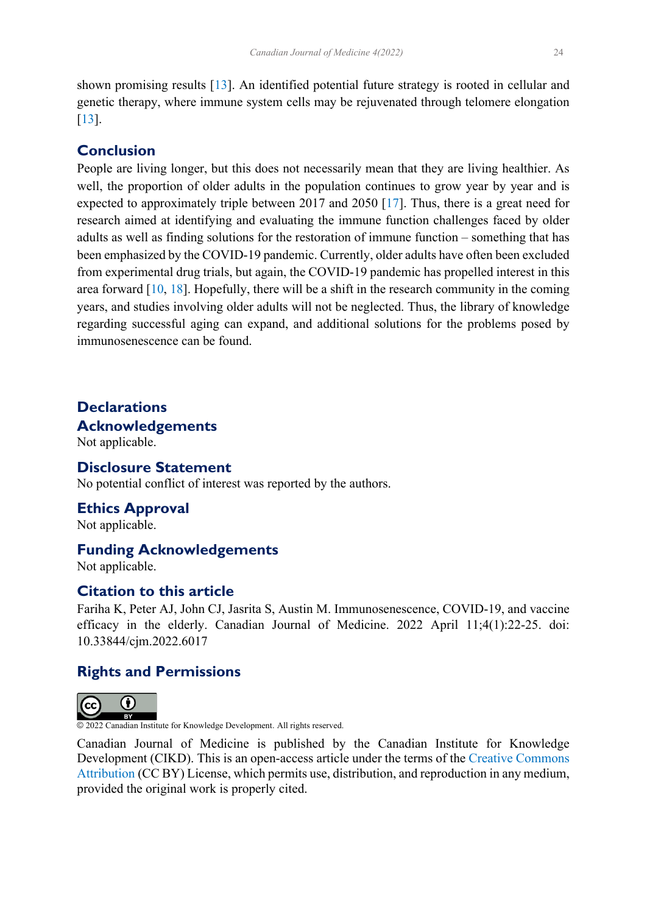<span id="page-2-0"></span>shown promising results [[13\]](#page-3-0). An identified potential future strategy is rooted in cellular and genetic therapy, where immune system cells may be rejuvenated through telomere elongation [[13\]](#page-3-0).

# **Conclusion**

People are living longer, but this does not necessarily mean that they are living healthier. As well, the proportion of older adults in the population continues to grow year by year and is expected to approximately triple between 2017 and 2050 [[17\]](#page-3-0). Thus, there is a great need for research aimed at identifying and evaluating the immune function challenges faced by older adults as well as finding solutions for the restoration of immune function – something that has been emphasized by the COVID-19 pandemic. Currently, older adults have often been excluded from experimental drug trials, but again, the COVID-19 pandemic has propelled interest in this area forward  $[10, 18]$  $[10, 18]$  $[10, 18]$  $[10, 18]$ . Hopefully, there will be a shift in the research community in the coming years, and studies involving older adults will not be neglected. Thus, the library of knowledge regarding successful aging can expand, and additional solutions for the problems posed by immunosenescence can be found.

# **Declarations Acknowledgements**

Not applicable.

### **Disclosure Statement**

No potential conflict of interest was reported by the authors.

### **Ethics Approval**

Not applicable.

### **Funding Acknowledgements**

Not applicable.

# **Citation to this article**

Fariha K, Peter AJ, John CJ, Jasrita S, Austin M. Immunosenescence, COVID-19, and vaccine efficacy in the elderly. Canadian Journal of Medicine. 2022 April 11;4(1):22-25. doi: 10.33844/cjm.2022.6017

# **Rights and Permissions**



© 2022 Canadian Institute for Knowledge Development. All rights reserved.

Canadian Journal of Medicine is published by the Canadian Institute for Knowledge Development (CIKD). This is an open-access article under the terms of the [Creative Commons](https://creativecommons.org/licenses/by/4.0/)  [Attribution](https://creativecommons.org/licenses/by/4.0/) (CC BY) License, which permits use, distribution, and reproduction in any medium, provided the original work is properly cited.